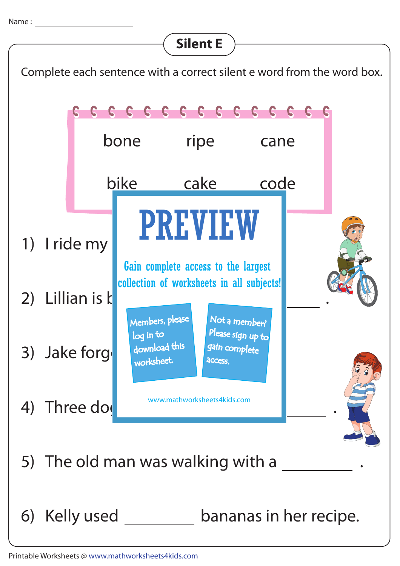